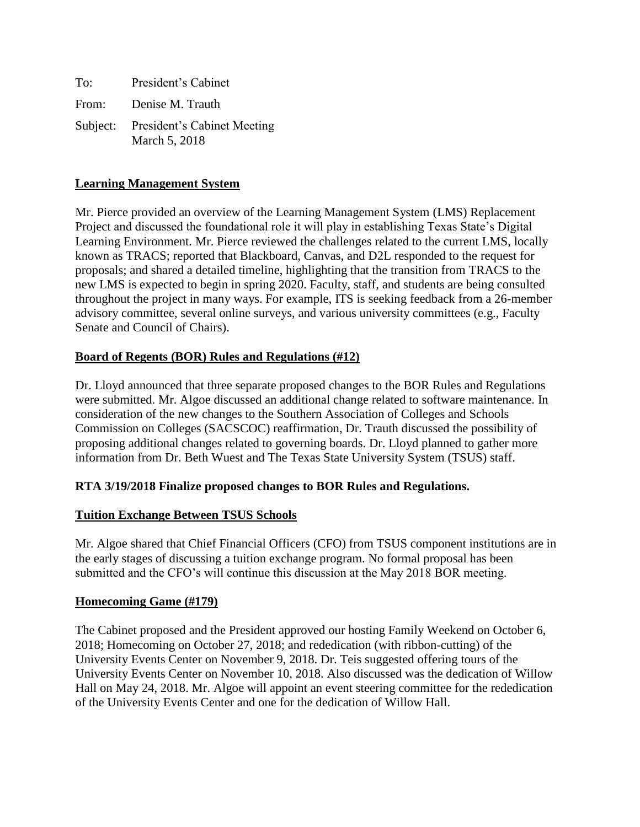To: President's Cabinet From: Denise M. Trauth Subject: President's Cabinet Meeting March 5, 2018

# **Learning Management System**

Mr. Pierce provided an overview of the Learning Management System (LMS) Replacement Project and discussed the foundational role it will play in establishing Texas State's Digital Learning Environment. Mr. Pierce reviewed the challenges related to the current LMS, locally known as TRACS; reported that Blackboard, Canvas, and D2L responded to the request for proposals; and shared a detailed timeline, highlighting that the transition from TRACS to the new LMS is expected to begin in spring 2020. Faculty, staff, and students are being consulted throughout the project in many ways. For example, ITS is seeking feedback from a 26-member advisory committee, several online surveys, and various university committees (e.g., Faculty Senate and Council of Chairs).

# **Board of Regents (BOR) Rules and Regulations (#12)**

Dr. Lloyd announced that three separate proposed changes to the BOR Rules and Regulations were submitted. Mr. Algoe discussed an additional change related to software maintenance. In consideration of the new changes to the Southern Association of Colleges and Schools Commission on Colleges (SACSCOC) reaffirmation, Dr. Trauth discussed the possibility of proposing additional changes related to governing boards. Dr. Lloyd planned to gather more information from Dr. Beth Wuest and The Texas State University System (TSUS) staff.

### **RTA 3/19/2018 Finalize proposed changes to BOR Rules and Regulations.**

### **Tuition Exchange Between TSUS Schools**

Mr. Algoe shared that Chief Financial Officers (CFO) from TSUS component institutions are in the early stages of discussing a tuition exchange program. No formal proposal has been submitted and the CFO's will continue this discussion at the May 2018 BOR meeting.

### **Homecoming Game (#179)**

The Cabinet proposed and the President approved our hosting Family Weekend on October 6, 2018; Homecoming on October 27, 2018; and rededication (with ribbon-cutting) of the University Events Center on November 9, 2018. Dr. Teis suggested offering tours of the University Events Center on November 10, 2018. Also discussed was the dedication of Willow Hall on May 24, 2018. Mr. Algoe will appoint an event steering committee for the rededication of the University Events Center and one for the dedication of Willow Hall.